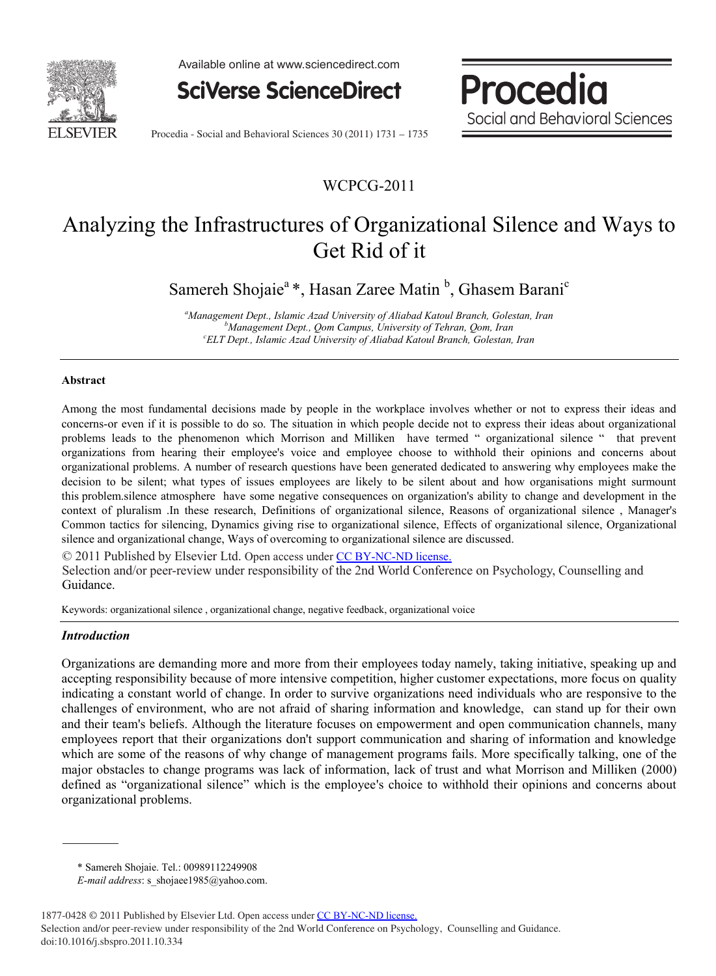

Available online at www.sciencedirect.com



**Social and Behavioral Social and Behavioral Sciences** 

**Procedia** 

Procedia - Social and Behavioral Sciences 30 (2011) 1731 – 1735

# WCPCG-2011

# Analyzing the Infrastructures of Organizational Silence and Ways to Get Rid of it

Samereh Shojaie<sup>a</sup>\*, Hasan Zaree Matin<sup>b</sup>, Ghasem Barani<sup>c</sup>

*a Management Dept., Islamic Azad University of Aliabad Katoul Branch, Golestan, Iran b Management Dept., Qom Campus, University of Tehran, Qom, Iran <sup>c</sup> ELT Dept., Islamic Azad University of Aliabad Katoul Branch, Golestan, Iran*

#### **Abstract**

Among the most fundamental decisions made by people in the workplace involves whether or not to express their ideas and concerns-or even if it is possible to do so. The situation in which people decide not to express their ideas about organizational problems leads to the phenomenon which Morrison and Milliken have termed " organizational silence " that prevent organizations from hearing their employee's voice and employee choose to withhold their opinions and concerns about organizational problems. A number of research questions have been generated dedicated to answering why employees make the decision to be silent; what types of issues employees are likely to be silent about and how organisations might surmount this problem.silence atmosphere have some negative consequences on organization's ability to change and development in the context of pluralism .In these research, Definitions of organizational silence, Reasons of organizational silence , Manager's Common tactics for silencing, Dynamics giving rise to organizational silence, Effects of organizational silence, Organizational silence and organizational change, Ways of overcoming to organizational silence are discussed.

© 2011 Published by Elsevier Ltd. Open access under [CC BY-NC-ND license.](http://creativecommons.org/licenses/by-nc-nd/3.0/)

Selection and/or peer-review under responsibility of the 2nd World Conference on Psychology, Counselling and Guidance.

Keywords: organizational silence , organizational change, negative feedback, organizational voice

#### *Introduction*

Organizations are demanding more and more from their employees today namely, taking initiative, speaking up and accepting responsibility because of more intensive competition, higher customer expectations, more focus on quality indicating a constant world of change. In order to survive organizations need individuals who are responsive to the challenges of environment, who are not afraid of sharing information and knowledge, can stand up for their own and their team's beliefs. Although the literature focuses on empowerment and open communication channels, many employees report that their organizations don't support communication and sharing of information and knowledge which are some of the reasons of why change of management programs fails. More specifically talking, one of the major obstacles to change programs was lack of information, lack of trust and what Morrison and Milliken (2000) defined as "organizational silence" which is the employee's choice to withhold their opinions and concerns about organizational problems.

<sup>\*</sup> Samereh Shojaie. Tel.: 00989112249908

*E-mail address*: s\_shojaee1985@yahoo.com.

<sup>1877-0428 © 2011</sup> Published by Elsevier Ltd. Open access under [CC BY-NC-ND license.](http://creativecommons.org/licenses/by-nc-nd/3.0/) Selection and/or peer-review under responsibility of the 2nd World Conference on Psychology, Counselling and Guidance. doi:10.1016/j.sbspro.2011.10.334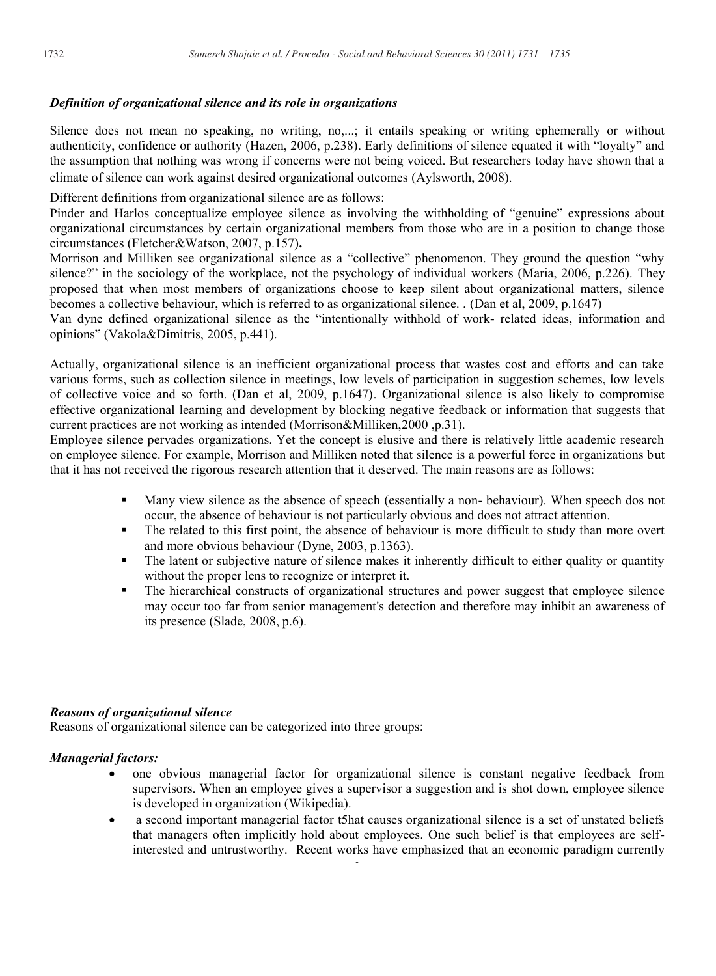## *Definition of organizational silence and its role in organizations*

Silence does not mean no speaking, no writing, no,...; it entails speaking or writing ephemerally or without authenticity, confidence or authority (Hazen, 2006, p.238). Early definitions of silence equated it with "loyalty" and the assumption that nothing was wrong if concerns were not being voiced. But researchers today have shown that a climate of silence can work against desired organizational outcomes (Aylsworth, 2008).

Different definitions from organizational silence are as follows:

Pinder and Harlos conceptualize employee silence as involving the withholding of "genuine" expressions about organizational circumstances by certain organizational members from those who are in a position to change those circumstances (Fletcher&Watson, 2007, p.157)**.** 

Morrison and Milliken see organizational silence as a "collective" phenomenon. They ground the question "why silence?" in the sociology of the workplace, not the psychology of individual workers (Maria, 2006, p.226). They proposed that when most members of organizations choose to keep silent about organizational matters, silence becomes a collective behaviour, which is referred to as organizational silence. . (Dan et al, 2009, p.1647)

Van dyne defined organizational silence as the "intentionally withhold of work- related ideas, information and opinions" (Vakola&Dimitris, 2005, p.441).

Actually, organizational silence is an inefficient organizational process that wastes cost and efforts and can take various forms, such as collection silence in meetings, low levels of participation in suggestion schemes, low levels of collective voice and so forth. (Dan et al, 2009, p.1647). Organizational silence is also likely to compromise effective organizational learning and development by blocking negative feedback or information that suggests that current practices are not working as intended (Morrison&Milliken,2000 ,p.31).

Employee silence pervades organizations. Yet the concept is elusive and there is relatively little academic research on employee silence. For example, Morrison and Milliken noted that silence is a powerful force in organizations but that it has not received the rigorous research attention that it deserved. The main reasons are as follows:

- Many view silence as the absence of speech (essentially a non- behaviour). When speech dos not occur, the absence of behaviour is not particularly obvious and does not attract attention.
- The related to this first point, the absence of behaviour is more difficult to study than more overt and more obvious behaviour (Dyne, 2003, p.1363).
- The latent or subjective nature of silence makes it inherently difficult to either quality or quantity without the proper lens to recognize or interpret it.
- The hierarchical constructs of organizational structures and power suggest that employee silence may occur too far from senior management's detection and therefore may inhibit an awareness of its presence (Slade, 2008, p.6).

## *Reasons of organizational silence*

Reasons of organizational silence can be categorized into three groups:

## *Managerial factors:*

- one obvious managerial factor for organizational silence is constant negative feedback from supervisors. When an employee gives a supervisor a suggestion and is shot down, employee silence is developed in organization (Wikipedia).
- a second important managerial factor t5hat causes organizational silence is a set of unstated beliefs that managers often implicitly hold about employees. One such belief is that employees are selfinterested and untrustworthy. Recent works have emphasized that an economic paradigm currently

**22**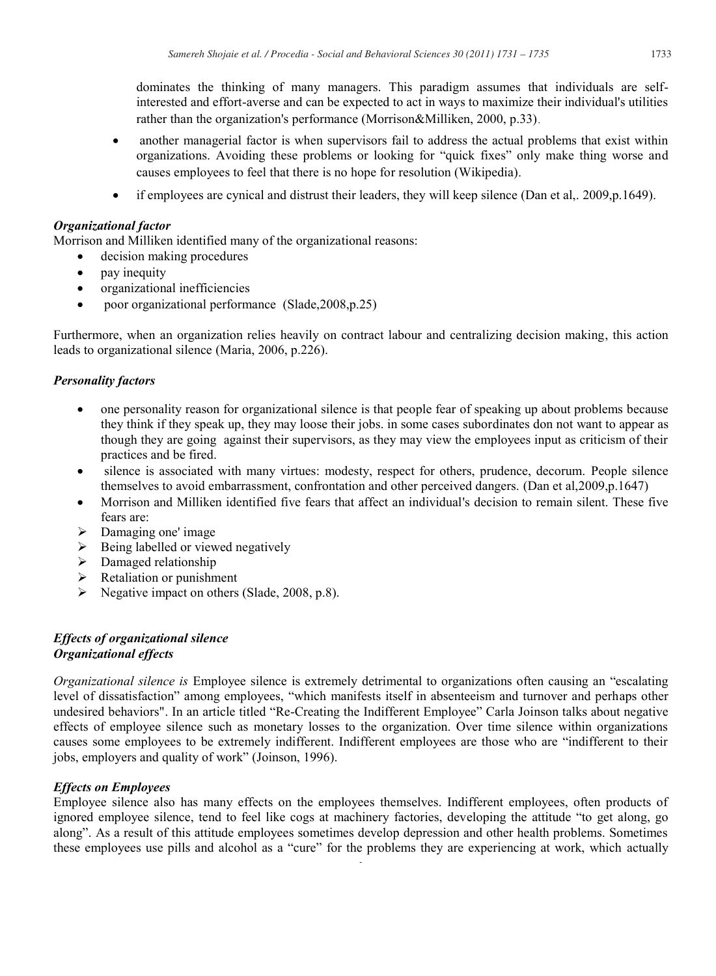dominates the thinking of many managers. This paradigm assumes that individuals are selfinterested and effort-averse and can be expected to act in ways to maximize their individual's utilities rather than the organization's performance (Morrison&Milliken, 2000, p.33).

- another managerial factor is when supervisors fail to address the actual problems that exist within organizations. Avoiding these problems or looking for "quick fixes" only make thing worse and causes employees to feel that there is no hope for resolution (Wikipedia)**.**
- if employees are cynical and distrust their leaders, they will keep silence (Dan et al,. 2009,p.1649).

## *Organizational factor*

Morrison and Milliken identified many of the organizational reasons:

- decision making procedures
- pay inequity
- organizational inefficiencies
- poor organizational performance(Slade,2008,p.25)

Furthermore, when an organization relies heavily on contract labour and centralizing decision making, this action leads to organizational silence (Maria, 2006, p.226).

## *Personality factors*

- one personality reason for organizational silence is that people fear of speaking up about problems because they think if they speak up, they may loose their jobs. in some cases subordinates don not want to appear as though they are going against their supervisors, as they may view the employees input as criticism of their practices and be fired.
- silence is associated with many virtues: modesty, respect for others, prudence, decorum. People silence themselves to avoid embarrassment, confrontation and other perceived dangers. (Dan et al,2009,p.1647)
- Morrison and Milliken identified five fears that affect an individual's decision to remain silent. These five fears are:
- $\triangleright$  Damaging one' image
- Being labelled or viewed negatively
- $\triangleright$  Damaged relationship
- Retaliation or punishment
- Negative impact on others (Slade, 2008, p.8).

## *Effects of organizational silence Organizational effects*

*Organizational silence is* Employee silence is extremely detrimental to organizations often causing an "escalating level of dissatisfaction" among employees, "which manifests itself in absenteeism and turnover and perhaps other undesired behaviors". In an article titled "Re-Creating the Indifferent Employee" Carla Joinson talks about negative effects of employee silence such as monetary losses to the organization. Over time silence within organizations causes some employees to be extremely indifferent. Indifferent employees are those who are "indifferent to their jobs, employers and quality of work" (Joinson, 1996).

## *Effects on Employees*

Employee silence also has many effects on the employees themselves. Indifferent employees, often products of ignored employee silence, tend to feel like cogs at machinery factories, developing the attitude "to get along, go along". As a result of this attitude employees sometimes develop depression and other health problems. Sometimes these employees use pills and alcohol as a "cure" for the problems they are experiencing at work, which actually

3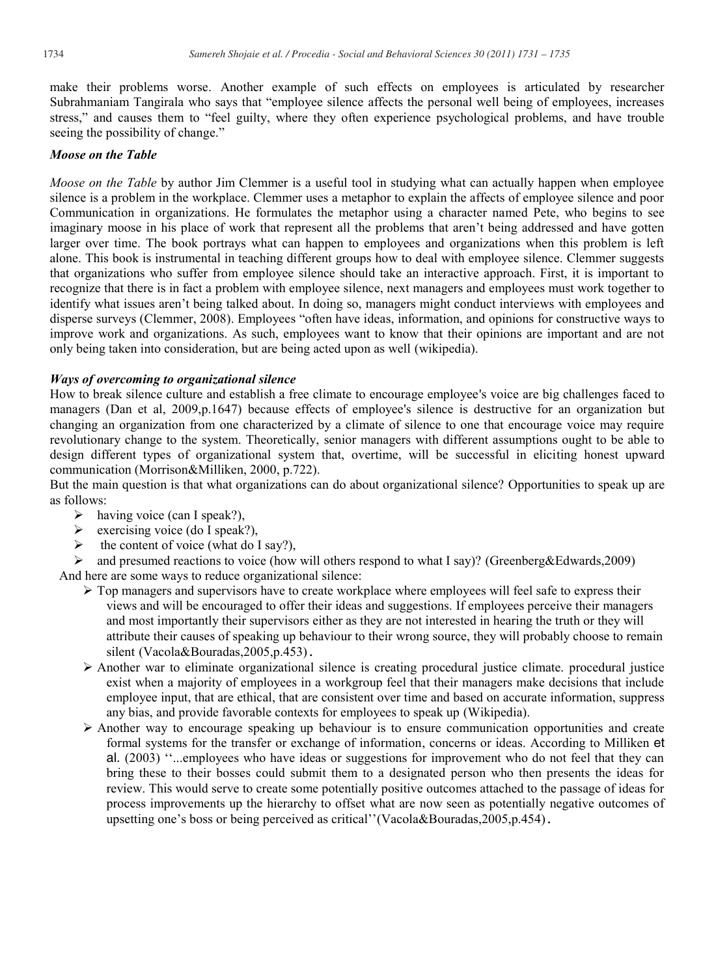make their problems worse. Another example of such effects on employees is articulated by researcher Subrahmaniam Tangirala who says that "employee silence affects the personal well being of employees, increases stress," and causes them to "feel guilty, where they often experience psychological problems, and have trouble seeing the possibility of change."

#### *Moose on the Table*

*Moose on the Table* by author Jim Clemmer is a useful tool in studying what can actually happen when employee silence is a problem in the workplace. Clemmer uses a metaphor to explain the affects of employee silence and poor Communication in organizations. He formulates the metaphor using a character named Pete, who begins to see imaginary moose in his place of work that represent all the problems that aren"t being addressed and have gotten larger over time. The book portrays what can happen to employees and organizations when this problem is left alone. This book is instrumental in teaching different groups how to deal with employee silence. Clemmer suggests that organizations who suffer from employee silence should take an interactive approach. First, it is important to recognize that there is in fact a problem with employee silence, next managers and employees must work together to identify what issues aren"t being talked about. In doing so, managers might conduct interviews with employees and disperse surveys (Clemmer, 2008). Employees "often have ideas, information, and opinions for constructive ways to improve work and organizations. As such, employees want to know that their opinions are important and are not only being taken into consideration, but are being acted upon as well (wikipedia).

#### *Ways of overcoming to organizational silence*

How to break silence culture and establish a free climate to encourage employee's voice are big challenges faced to managers (Dan et al, 2009,p.1647) because effects of employee's silence is destructive for an organization but changing an organization from one characterized by a climate of silence to one that encourage voice may require revolutionary change to the system. Theoretically, senior managers with different assumptions ought to be able to design different types of organizational system that, overtime, will be successful in eliciting honest upward communication (Morrison&Milliken, 2000, p.722).

But the main question is that what organizations can do about organizational silence? Opportunities to speak up are as follows:

- $\triangleright$  having voice (can I speak?),
- $\triangleright$  exercising voice (do I speak?),
- $\triangleright$  the content of voice (what do I say?),
- $\triangleright$  and presumed reactions to voice (how will others respond to what I say)? (Greenberg&Edwards,2009) And here are some ways to reduce organizational silence:
	- $\triangleright$  Top managers and supervisors have to create workplace where employees will feel safe to express their views and will be encouraged to offer their ideas and suggestions. If employees perceive their managers and most importantly their supervisors either as they are not interested in hearing the truth or they will attribute their causes of speaking up behaviour to their wrong source, they will probably choose to remain silent (Vacola&Bouradas, 2005, p.453).
	- $\triangleright$  Another war to eliminate organizational silence is creating procedural justice climate. procedural justice exist when a majority of employees in a workgroup feel that their managers make decisions that include employee input, that are ethical, that are consistent over time and based on accurate information, suppress any bias, and provide favorable contexts for employees to speak up (Wikipedia).
	- $\triangleright$  Another way to encourage speaking up behaviour is to ensure communication opportunities and create formal systems for the transfer or exchange of information, concerns or ideas. According to Milliken et al. (2003) ""...employees who have ideas or suggestions for improvement who do not feel that they can bring these to their bosses could submit them to a designated person who then presents the ideas for review. This would serve to create some potentially positive outcomes attached to the passage of ideas for process improvements up the hierarchy to offset what are now seen as potentially negative outcomes of upsetting one's boss or being perceived as critical" (Vacola&Bouradas, 2005, p.454).